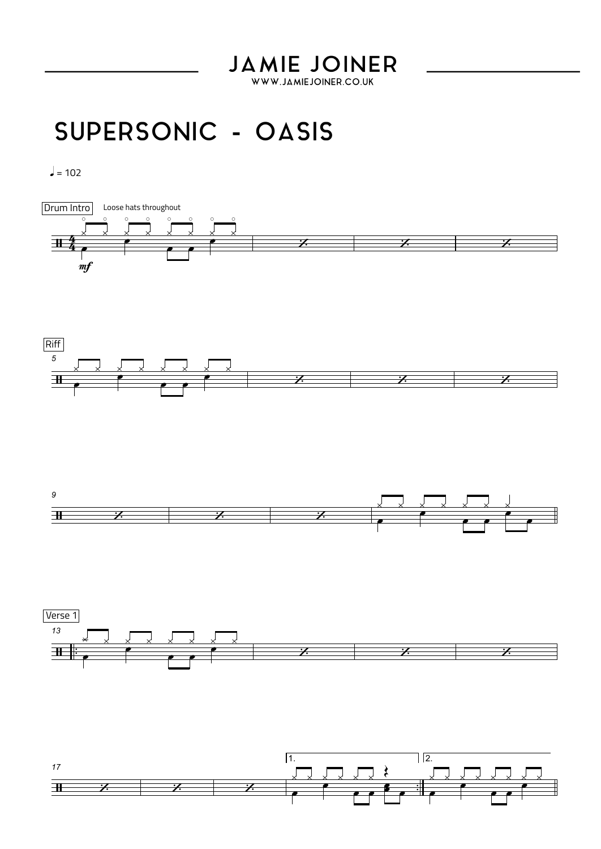## **JAMIE JOINER**

WWW.JAMIEJOINER.CO.UK

## SUPERSONIC - OASIS

 $l = 102$ 









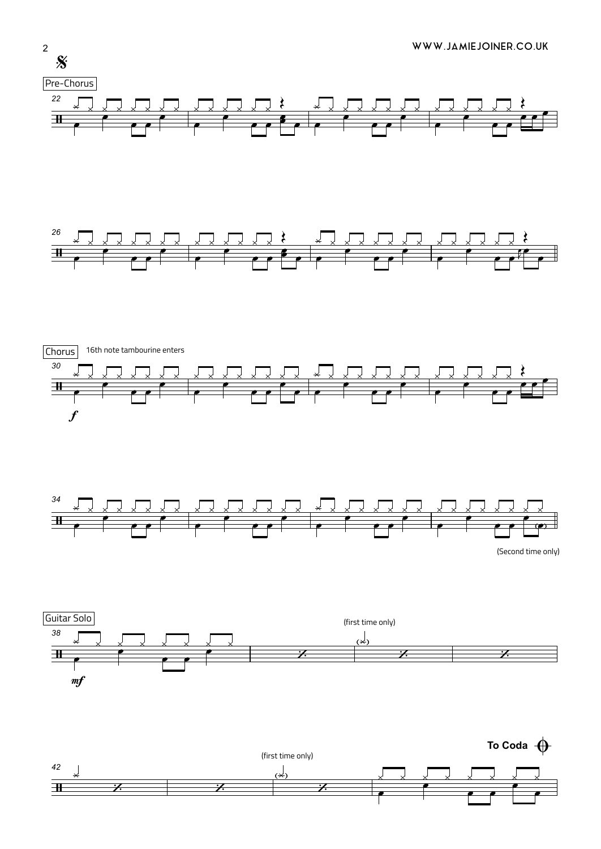









(Second time only)





 $\overline{2}$